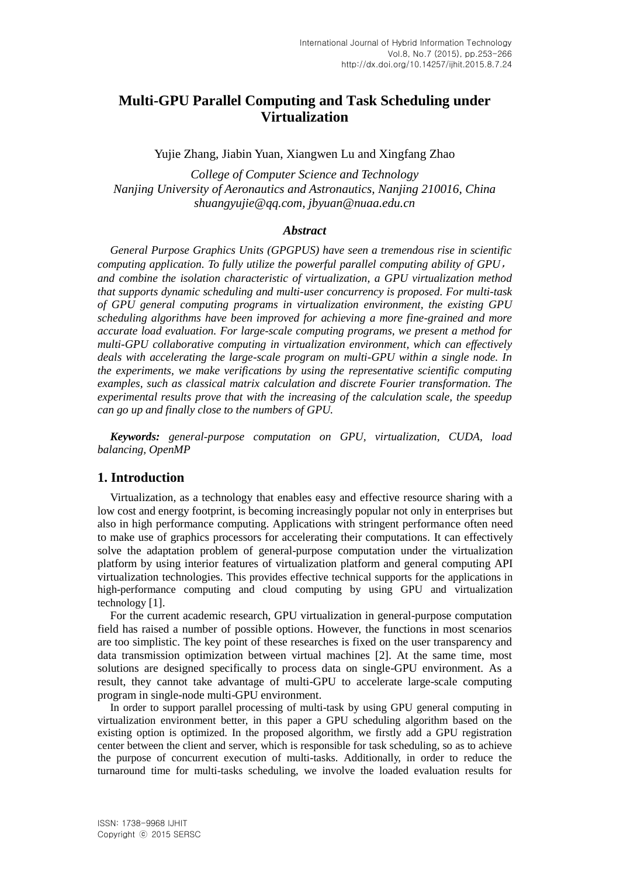# **Multi-GPU Parallel Computing and Task Scheduling under Virtualization**

Yujie Zhang, Jiabin Yuan, Xiangwen Lu and Xingfang Zhao

*College of Computer Science and Technology Nanjing University of Aeronautics and Astronautics, Nanjing 210016, China shuangyujie@qq.com, jbyuan@nuaa.edu.cn*

#### *Abstract*

*General Purpose Graphics Units (GPGPUS) have seen a tremendous rise in scientific computing application. To fully utilize the powerful parallel computing ability of GPU*, *and combine the isolation characteristic of virtualization, a GPU virtualization method that supports dynamic scheduling and multi-user concurrency is proposed. For multi-task of GPU general computing programs in virtualization environment, the existing GPU scheduling algorithms have been improved for achieving a more fine-grained and more accurate load evaluation. For large-scale computing programs, we present a method for multi-GPU collaborative computing in virtualization environment, which can effectively deals with accelerating the large-scale program on multi-GPU within a single node. In the experiments, we make verifications by using the representative scientific computing examples, such as classical matrix calculation and discrete Fourier transformation. The experimental results prove that with the increasing of the calculation scale, the speedup can go up and finally close to the numbers of GPU.*

*Keywords: general-purpose computation on GPU, virtualization, CUDA, load balancing, OpenMP*

## **1. Introduction**

Virtualization, as a technology that enables easy and effective resource sharing with a low cost and energy footprint, is becoming increasingly popular not only in enterprises but also in high performance computing. Applications with stringent performance often need to make use of graphics processors for accelerating their computations. It can effectively solve the adaptation problem of general-purpose computation under the virtualization platform by using interior features of virtualization platform and general computing API virtualization technologies. This provides effective technical supports for the applications in high-performance computing and cloud computing by using GPU and virtualization technology [1].

For the current academic research, GPU virtualization in general-purpose computation field has raised a number of possible options. However, the functions in most scenarios are too simplistic. The key point of these researches is fixed on the user transparency and data transmission optimization between virtual machines [2]. At the same time, most solutions are designed specifically to process data on single-GPU environment. As a result, they cannot take advantage of multi-GPU to accelerate large-scale computing program in single-node multi-GPU environment.

In order to support parallel processing of multi-task by using GPU general computing in virtualization environment better, in this paper a GPU scheduling algorithm based on the existing option is optimized. In the proposed algorithm, we firstly add a GPU registration center between the client and server, which is responsible for task scheduling, so as to achieve the purpose of concurrent execution of multi-tasks. Additionally, in order to reduce the turnaround time for multi-tasks scheduling, we involve the loaded evaluation results for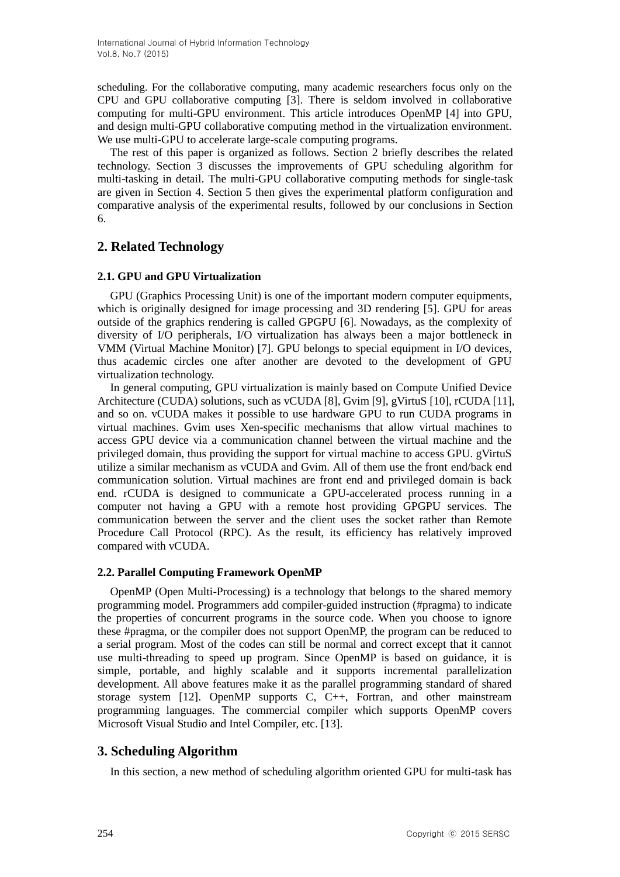scheduling. For the collaborative computing, many academic researchers focus only on the CPU and GPU collaborative computing [3]. There is seldom involved in collaborative computing for multi-GPU environment. This article introduces OpenMP [4] into GPU, and design multi-GPU collaborative computing method in the virtualization environment. We use multi-GPU to accelerate large-scale computing programs.

The rest of this paper is organized as follows. Section 2 briefly describes the related technology. Section 3 discusses the improvements of GPU scheduling algorithm for multi-tasking in detail. The multi-GPU collaborative computing methods for single-task are given in Section 4. Section 5 then gives the experimental platform configuration and comparative analysis of the experimental results, followed by our conclusions in Section 6.

# **2. Related Technology**

## **2.1. GPU and GPU Virtualization**

GPU (Graphics Processing Unit) is one of the important modern computer equipments, which is originally designed for image processing and 3D rendering [5]. GPU for areas outside of the graphics rendering is called GPGPU [6]. Nowadays, as the complexity of diversity of I/O peripherals, I/O virtualization has always been a major bottleneck in VMM (Virtual Machine Monitor) [7]. GPU belongs to special equipment in I/O devices, thus academic circles one after another are devoted to the development of GPU virtualization technology.

In general computing, GPU virtualization is mainly based on Compute Unified Device Architecture (CUDA) solutions, such as vCUDA [8], Gvim [9], gVirtuS [10], rCUDA [11], and so on. vCUDA makes it possible to use hardware GPU to run CUDA programs in virtual machines. Gvim uses Xen-specific mechanisms that allow virtual machines to access GPU device via a communication channel between the virtual machine and the privileged domain, thus providing the support for virtual machine to access GPU. gVirtuS utilize a similar mechanism as vCUDA and Gvim. All of them use the front end/back end communication solution. Virtual machines are front end and privileged domain is back end. rCUDA is designed to communicate a GPU-accelerated process running in a computer not having a GPU with a remote host providing GPGPU services. The communication between the server and the client uses the socket rather than Remote Procedure Call Protocol (RPC). As the result, its efficiency has relatively improved compared with vCUDA.

## **2.2. Parallel Computing Framework OpenMP**

OpenMP (Open Multi-Processing) is a technology that belongs to the shared memory programming model. Programmers add compiler-guided instruction (#pragma) to indicate the properties of concurrent programs in the source code. When you choose to ignore these #pragma, or the compiler does not support OpenMP, the program can be reduced to a serial program. Most of the codes can still be normal and correct except that it cannot use multi-threading to speed up program. Since OpenMP is based on guidance, it is simple, portable, and highly scalable and it supports incremental parallelization development. All above features make it as the parallel programming standard of shared storage system [12]. OpenMP supports C, C++, Fortran, and other mainstream programming languages. The commercial compiler which supports OpenMP covers Microsoft Visual Studio and Intel Compiler, etc. [13].

# **3. Scheduling Algorithm**

In this section, a new method of scheduling algorithm oriented GPU for multi-task has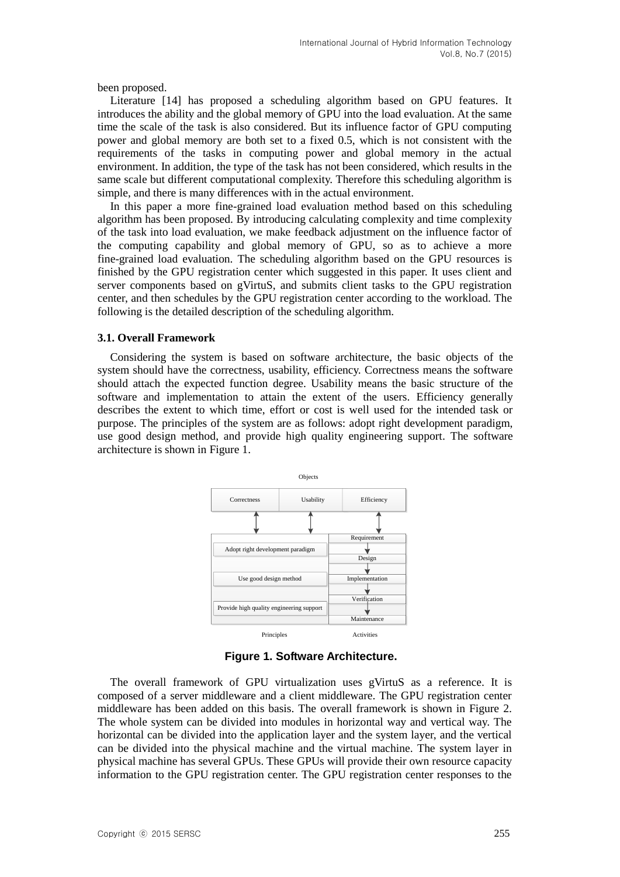been proposed.

Literature [14] has proposed a scheduling algorithm based on GPU features. It introduces the ability and the global memory of GPU into the load evaluation. At the same time the scale of the task is also considered. But its influence factor of GPU computing power and global memory are both set to a fixed 0.5, which is not consistent with the requirements of the tasks in computing power and global memory in the actual environment. In addition, the type of the task has not been considered, which results in the same scale but different computational complexity. Therefore this scheduling algorithm is simple, and there is many differences with in the actual environment.

In this paper a more fine-grained load evaluation method based on this scheduling algorithm has been proposed. By introducing calculating complexity and time complexity of the task into load evaluation, we make feedback adjustment on the influence factor of the [computing capability](http://dict.cnki.net/dict_result.aspx?searchword=计算能力&tjType=sentence&style=&t=computing+capability) and global memory of GPU, so as to achieve a more fine-grained load evaluation. The scheduling algorithm based on the GPU resources is finished by the GPU registration center which suggested in this paper. It uses client and server components based on gVirtuS, and submits client tasks to the GPU registration center, and then schedules by the GPU registration center according to the workload. The following is the detailed description of the scheduling algorithm.

### **3.1. Overall Framework**

Considering the system is based on software architecture, the basic objects of the system should have the correctness, usability, efficiency. Correctness means the software should attach the expected function degree. Usability means the basic structure of the software and implementation to attain the extent of the users. Efficiency generally describes the extent to which time, effort or cost is well used for the intended task or purpose. The principles of the system are as follows: adopt right development paradigm, use good design method, and provide high quality engineering support. The software architecture is shown in Figure 1.



**Figure 1. Software Architecture.**

The overall framework of GPU virtualization uses gVirtuS as a reference. It is composed of a server middleware and a client middleware. The GPU registration center middleware has been added on this basis. The overall framework is shown in Figure 2. The whole system can be divided into modules in horizontal way and vertical way. The horizontal can be divided into the application layer and the system layer, and the vertical can be divided into the physical machine and the virtual machine. The system layer in physical machine has several GPUs. These GPUs will provide their own resource capacity information to the GPU registration center. The GPU registration center responses to the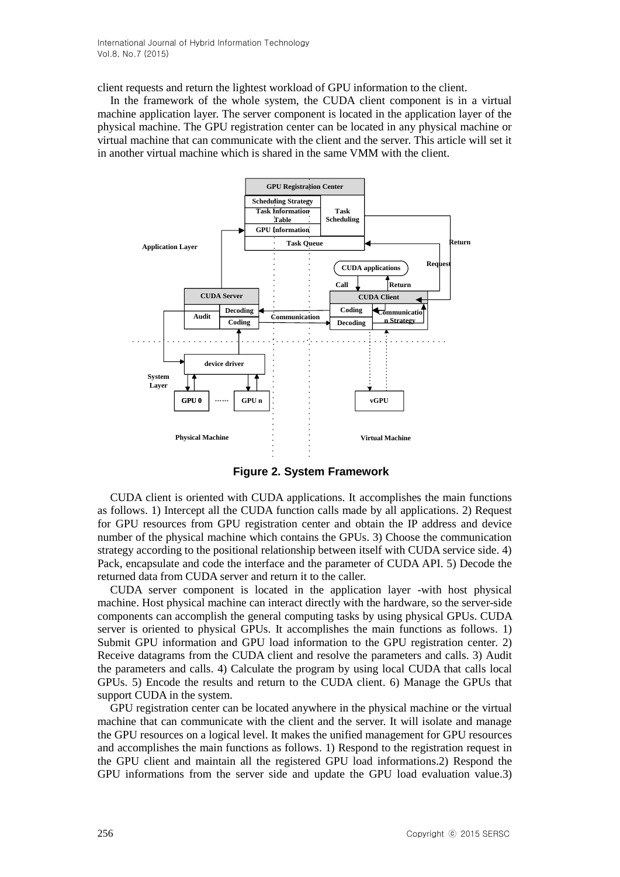client requests and return the lightest workload of GPU information to the client.

In the framework of the whole system, the CUDA client component is in a virtual machine application layer. The server component is located in the application layer of the physical machine. The GPU registration center can be located in any physical machine or virtual machine that can communicate with the client and the server. This article will set it in another virtual machine which is shared in the same VMM with the client.



**Figure 2. System Framework**

CUDA client is oriented with CUDA applications. It accomplishes the main functions as follows. 1) Intercept all the CUDA function calls made by all applications. 2) Request for GPU resources from GPU registration center and obtain the IP address and device number of the physical machine which contains the GPUs. 3) Choose the communication strategy according to the positional relationship between itself with CUDA service side. 4) Pack, encapsulate and code the interface and the parameter of CUDA API. 5) Decode the returned data from CUDA server and return it to the caller.

CUDA server component is located in the application layer -with host physical machine. Host physical machine can interact directly with the hardware, so the server-side components can accomplish the general computing tasks by using physical GPUs. CUDA server is oriented to physical GPUs. It accomplishes the main functions as follows. 1) Submit GPU information and GPU load information to the GPU registration center. 2) Receive datagrams from the CUDA client and resolve the parameters and calls. 3) Audit the parameters and calls. 4) Calculate the program by using local CUDA that calls local GPUs. 5) Encode the results and return to the CUDA client. 6) Manage the GPUs that support CUDA in the system.

GPU registration center can be located anywhere in the physical machine or the virtual machine that can communicate with the client and the server. It will isolate and manage the GPU resources on a logical level. It makes the unified management for GPU resources and accomplishes the main functions as follows. 1) Respond to the registration request in the GPU client and maintain all the registered GPU load informations.2) Respond the GPU informations from the server side and update the GPU load evaluation value.3)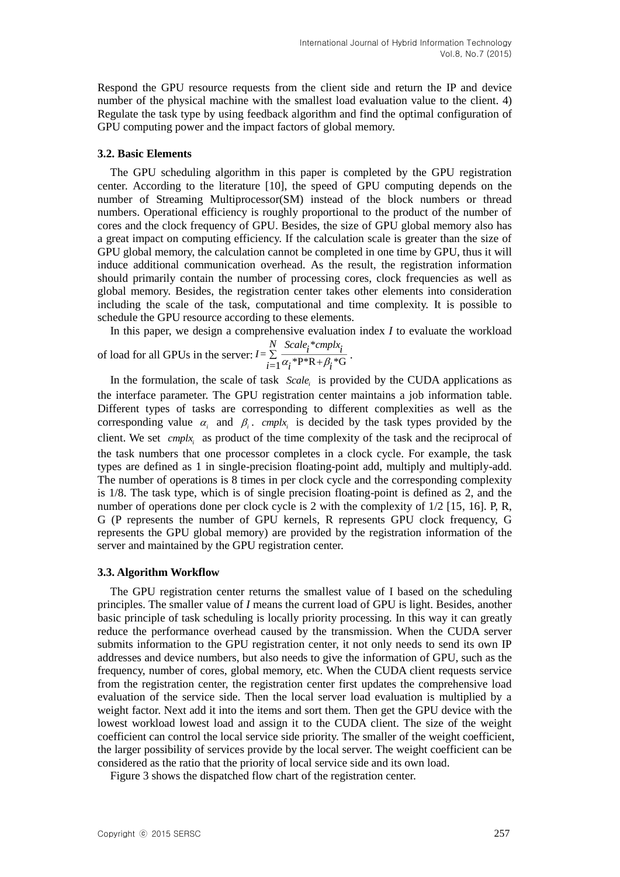Respond the GPU resource requests from the client side and return the IP and device number of the physical machine with the smallest load evaluation value to the client. 4) Regulate the task type by using feedback algorithm and find the optimal configuration of GPU computing power and the impact factors of global memory.

#### **3.2. Basic Elements**

The GPU scheduling algorithm in this paper is completed by the GPU registration center. According to the literature [10], the speed of GPU computing depends on the number of Streaming Multiprocessor(SM) instead of the block numbers or thread numbers. Operational efficiency is roughly proportional to the product of the number of cores and the clock frequency of GPU. Besides, the size of GPU global memory also has a great impact on computing efficiency. If the calculation scale is greater than the size of GPU global memory, the calculation cannot be completed in one time by GPU, thus it will induce additional communication overhead. As the result, the registration information should primarily contain the number of processing cores, clock frequencies as well as global memory. Besides, the registration center takes other elements into consideration including the scale of the task, computational and time complexity. It is possible to schedule the GPU resource according to these elements.

In this paper, we design a comprehensive evaluation index *I* to evaluate the workload  $I = \sum_{i=1}^{N} \frac{Scale_i * implx_i}{i}$ 

of load for all GPUs in the server:  $I = \sum_{i=1}^{N} \frac{Scale_i * implx_i}{\alpha_i * P^*R + \beta_i * G}$  $\sum_{i=1}^{\infty} \frac{i}{\alpha_i * P^*R + \beta_i * G}$ .

In the formulation, the scale of task  $Scale<sub>i</sub>$  is provided by the CUDA applications as the interface parameter. The GPU registration center maintains a job information table. Different types of tasks are corresponding to different complexities as well as the corresponding value  $\alpha_i$  and  $\beta_i$ . cmplx<sub>i</sub> is decided by the task types provided by the client. We set *cmplx*<sub>i</sub> as product of the time complexity of the task and the reciprocal of the task numbers that one processor completes in a clock cycle. For example, the task types are defined as 1 in single-precision floating-point add, multiply and multiply-add. The number of operations is 8 times in per clock cycle and the corresponding complexity is 1/8. The task type, which is of single precision floating-point is defined as 2, and the number of operations done per clock cycle is 2 with the complexity of 1/2 [15, 16]. P, R, G (P represents the number of GPU kernels, R represents GPU clock frequency, G represents the GPU global memory) are provided by the registration information of the server and maintained by the GPU registration center.

#### **3.3. Algorithm Workflow**

The GPU registration center returns the smallest value of I based on the scheduling principles. The smaller value of *I* means the current load of GPU is light. Besides, another basic principle of task scheduling is locally priority processing. In this way it can greatly reduce the performance overhead caused by the transmission. When the CUDA server submits information to the GPU registration center, it not only needs to send its own IP addresses and device numbers, but also needs to give the information of GPU, such as the frequency, number of cores, global memory, etc. When the CUDA client requests service from the registration center, the registration center first updates the comprehensive load evaluation of the service side. Then the local server load evaluation is multiplied by a weight factor. Next add it into the items and sort them. Then get the GPU device with the lowest workload lowest load and assign it to the CUDA client. The size of the weight coefficient can control the local service side priority. The smaller of the weight coefficient, the larger possibility of services provide by the local server. The weight coefficient can be considered as the ratio that the priority of local service side and its own load.

Figure 3 shows the dispatched flow chart of the registration center.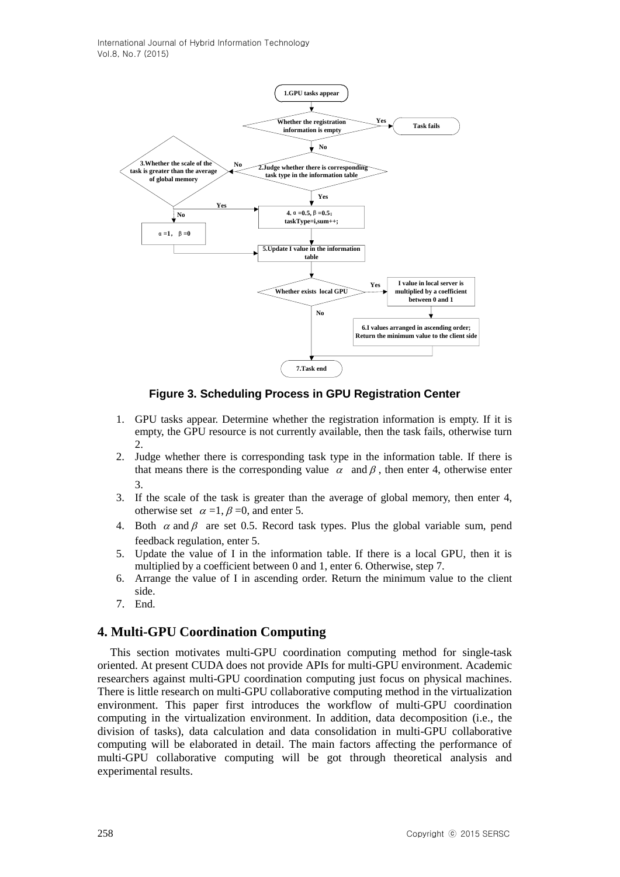

**Figure 3. Scheduling Process in GPU Registration Center**

- 1. GPU tasks appear. Determine whether the registration information is empty. If it is empty, the GPU resource is not currently available, then the task fails, otherwise turn  $\mathcal{D}$ .
- 2. Judge whether there is corresponding task type in the information table. If there is that means there is the corresponding value  $\alpha$  and  $\beta$ , then enter 4, otherwise enter 3.
- 3. If the scale of the task is greater than the average of global memory, then enter 4, otherwise set  $\alpha = 1$ ,  $\beta = 0$ , and enter 5.
- 4. Both  $\alpha$  and  $\beta$  are set 0.5. Record task types. Plus the global variable sum, pend feedback regulation, enter 5.
- 5. Update the value of I in the information table. If there is a local GPU, then it is multiplied by a coefficient between 0 and 1, enter 6. Otherwise, step 7.
- 6. Arrange the value of I in ascending order. Return the minimum value to the client side.
- 7. End.

# **4. Multi-GPU Coordination Computing**

This section motivates multi-GPU coordination computing method for single-task oriented. At present CUDA does not provide APIs for multi-GPU environment. Academic researchers against multi-GPU coordination computing just focus on physical machines. There is little research on multi-GPU collaborative computing method in the virtualization environment. This paper first introduces the workflow of multi-GPU coordination computing in the virtualization environment. In addition, data decomposition (i.e., the division of tasks), data calculation and data consolidation in multi-GPU collaborative computing will be elaborated in detail. The main factors affecting the performance of multi-GPU collaborative computing will be got through theoretical analysis and experimental results.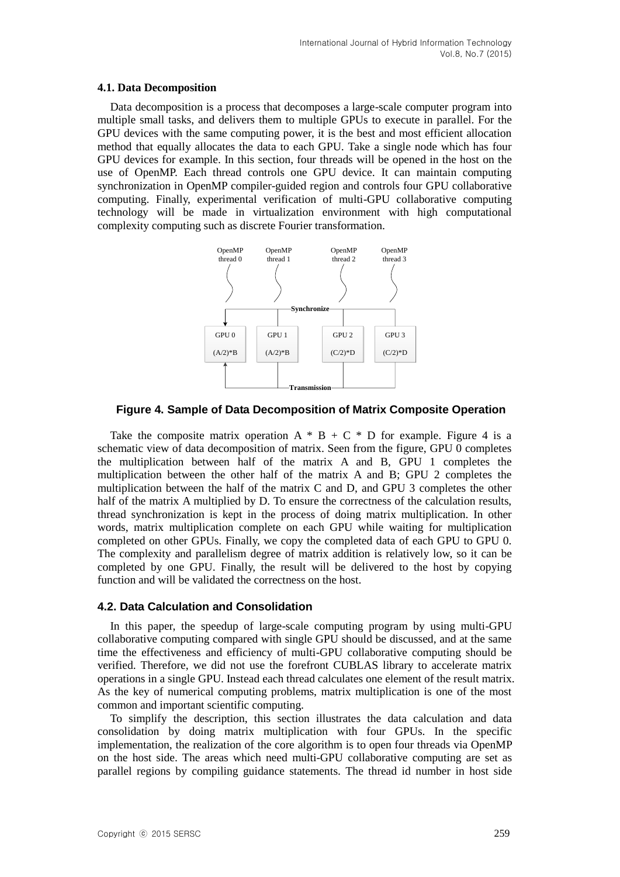#### **4.1. Data Decomposition**

Data decomposition is a process that decomposes a large-scale computer program into multiple small tasks, and delivers them to multiple GPUs to execute in parallel. For the GPU devices with the same computing power, it is the best and most efficient allocation method that equally allocates the data to each GPU. Take a single node which has four GPU devices for example. In this section, four threads will be opened in the host on the use of OpenMP. Each thread controls one GPU device. It can maintain computing synchronization in OpenMP compiler-guided region and controls four GPU collaborative computing. Finally, experimental verification of multi-GPU collaborative computing technology will be made in virtualization environment with high computational complexity computing such as discrete Fourier transformation.



**Figure 4. Sample of Data Decomposition of Matrix Composite Operation**

Take the composite matrix operation  $A * B + C * D$  for example. Figure 4 is a schematic view of data decomposition of matrix. Seen from the figure, GPU 0 completes the multiplication between half of the matrix A and B, GPU 1 completes the multiplication between the other half of the matrix A and B; GPU 2 completes the multiplication between the half of the matrix C and D, and GPU 3 completes the other half of the matrix A multiplied by D. To ensure the correctness of the calculation results, thread synchronization is kept in the process of doing matrix multiplication. In other words, matrix multiplication complete on each GPU while waiting for multiplication completed on other GPUs. Finally, we copy the completed data of each GPU to GPU 0. The complexity and parallelism degree of matrix addition is relatively low, so it can be completed by one GPU. Finally, the result will be delivered to the host by copying function and will be validated the correctness on the host.

## **4.2. Data Calculation and Consolidation**

In this paper, the speedup of large-scale computing program by using multi-GPU collaborative computing compared with single GPU should be discussed, and at the same time the effectiveness and efficiency of multi-GPU collaborative computing should be verified. Therefore, we did not use the forefront CUBLAS library to accelerate matrix operations in a single GPU. Instead each thread calculates one element of the result matrix. As the key of numerical computing problems, matrix multiplication is one of the most common and important scientific computing.

To simplify the description, this section illustrates the data calculation and data consolidation by doing matrix multiplication with four GPUs. In the specific implementation, the realization of the core algorithm is to open four threads via OpenMP on the host side. The areas which need multi-GPU collaborative computing are set as parallel regions by compiling guidance statements. The thread id number in host side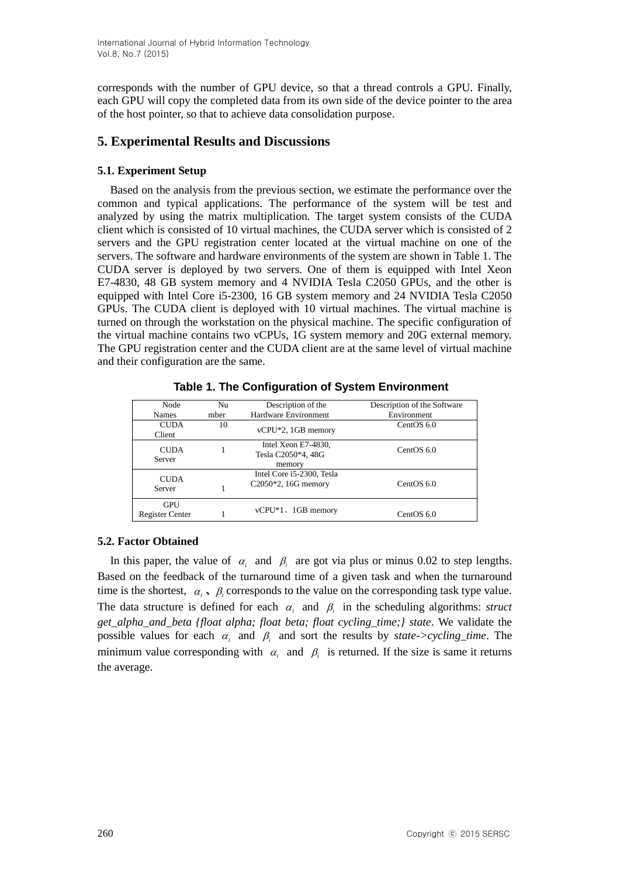corresponds with the number of GPU device, so that a thread controls a GPU. Finally, each GPU will copy the completed data from its own side of the device pointer to the area of the host pointer, so that to achieve data consolidation purpose.

# **5. Experimental Results and Discussions**

# **5.1. Experiment Setup**

Based on the analysis from the previous section, we estimate the performance over the common and typical applications. The performance of the system will be test and analyzed by using the matrix multiplication. The target system consists of the CUDA client which is consisted of 10 virtual machines, the CUDA server which is consisted of 2 servers and the GPU registration center located at the virtual machine on one of the servers. The software and hardware environments of the system are shown in Table 1. The CUDA server is deployed by two servers. One of them is equipped with Intel Xeon E7-4830, 48 GB system memory and 4 NVIDIA Tesla C2050 GPUs, and the other is equipped with Intel Core i5-2300, 16 GB system memory and 24 NVIDIA Tesla C2050 GPUs. The CUDA client is deployed with 10 virtual machines. The virtual machine is turned on through the workstation on the physical machine. The specific configuration of the virtual machine contains two vCPUs, 1G system memory and 20G external memory. The GPU registration center and the CUDA client are at the same level of virtual machine and their configuration are the same.

| Node<br><b>Names</b>                 | Nu<br>mber | Description of the<br>Hardware Environment          | Description of the Software<br>Environment |
|--------------------------------------|------------|-----------------------------------------------------|--------------------------------------------|
| <b>CUDA</b><br>Client                | 10         | vCPU*2, 1GB memory                                  | CentOS 6.0                                 |
| <b>CUDA</b><br>Server                |            | Intel Xeon E7-4830,<br>Tesla C2050*4, 48G<br>memory | CentOS 6.0                                 |
| <b>CUDA</b><br>Server                |            | Intel Core i5-2300, Tesla<br>$C2050*2$ , 16G memory | CentOS 6.0                                 |
| <b>GPU</b><br><b>Register Center</b> |            | $v$ CPU <sup>*</sup> 1, 1GB memory                  | CentOS $6.0$                               |

**Table 1. The Configuration of System Environment**

# **5.2. Factor Obtained**

In this paper, the value of  $\alpha_i$  and  $\beta_i$  are got via plus or minus 0.02 to step lengths. Based on the feedback of the turnaround time of a given task and when the turnaround time is the shortest,  $\alpha_i$ ,  $\beta_i$  corresponds to the value on the corresponding task type value. The data structure is defined for each  $\alpha_i$  and  $\beta_i$  in the scheduling algorithms: *struct get\_alpha\_and\_beta {float alpha; float beta; float cycling\_time;} state*. We validate the possible values for each  $\alpha_i$  and  $\beta_i$  and sort the results by *state->cycling\_time*. The minimum value corresponding with  $\alpha_i$  and  $\beta_i$  is returned. If the size is same it returns the average.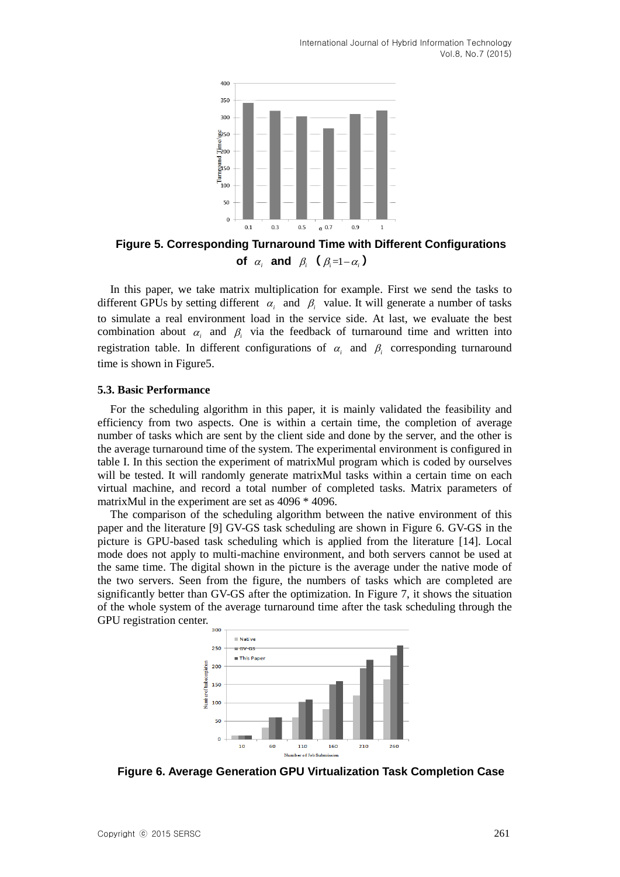

**Figure 5. Corresponding Turnaround Time with Different Configurations of**  $\alpha_i$  **and**  $\beta_i$  ( $\beta_i = 1 - \alpha_i$ )

In this paper, we take matrix multiplication for example. First we send the tasks to different GPUs by setting different  $\alpha_i$  and  $\beta_i$  value. It will generate a number of tasks to simulate a real environment load in the service side. At last, we evaluate the best combination about  $\alpha_i$  and  $\beta_i$  via the feedback of turnaround time and written into registration table. In different configurations of  $\alpha_i$  and  $\beta_i$  corresponding turnaround time is shown in Figure5.

#### **5.3. Basic Performance**

For the scheduling algorithm in this paper, it is mainly validated the feasibility and efficiency from two aspects. One is within a certain time, the completion of average number of tasks which are sent by the client side and done by the server, and the other is the average turnaround time of the system. The experimental environment is configured in table I. In this section the experiment of matrixMul program which is coded by ourselves will be tested. It will randomly generate matrixMul tasks within a certain time on each virtual machine, and record a total number of completed tasks. Matrix parameters of matrixMul in the experiment are set as 4096 \* 4096.

The comparison of the scheduling algorithm between the native environment of this paper and the literature [9] GV-GS task scheduling are shown in Figure 6. GV-GS in the picture is GPU-based task scheduling which is applied from the literature [14]. Local mode does not apply to multi-machine environment, and both servers cannot be used at the same time. The digital shown in the picture is the average under the native mode of the two servers. Seen from the figure, the numbers of tasks which are completed are significantly better than GV-GS after the optimization. In Figure 7, it shows the situation of the whole system of the average turnaround time after the task scheduling through the GPU registration center.



**Figure 6. Average Generation GPU Virtualization Task Completion Case**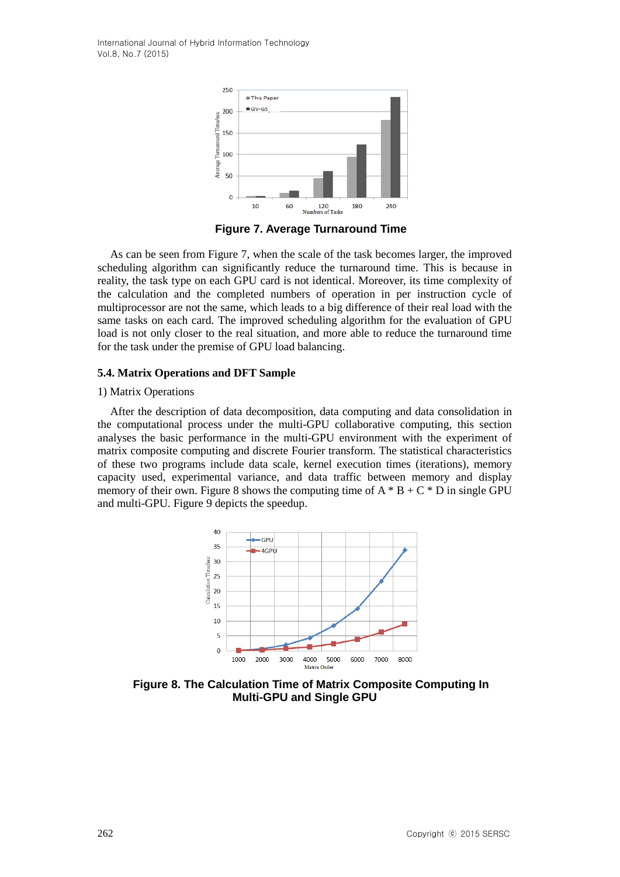

**Figure 7. Average Turnaround Time**

As can be seen from Figure 7, when the scale of the task becomes larger, the improved scheduling algorithm can significantly reduce the turnaround time. This is because in reality, the task type on each GPU card is not identical. Moreover, its time complexity of the calculation and the completed numbers of operation in per instruction cycle of multiprocessor are not the same, which leads to a big difference of their real load with the same tasks on each card. The improved scheduling algorithm for the evaluation of GPU load is not only closer to the real situation, and more able to reduce the turnaround time for the task under the premise of GPU load balancing.

#### **5.4. Matrix Operations and DFT Sample**

#### 1) Matrix Operations

After the description of data decomposition, data computing and data consolidation in the computational process under the multi-GPU collaborative computing, this section analyses the basic performance in the multi-GPU environment with the experiment of matrix composite computing and discrete Fourier transform. The statistical characteristics of these two programs include data scale, kernel execution times (iterations), memory capacity used, experimental variance, and data traffic between memory and display memory of their own. Figure 8 shows the computing time of  $A * B + C * D$  in single GPU and multi-GPU. Figure 9 depicts the speedup.



**Figure 8. The Calculation Time of Matrix Composite Computing In Multi-GPU and Single GPU**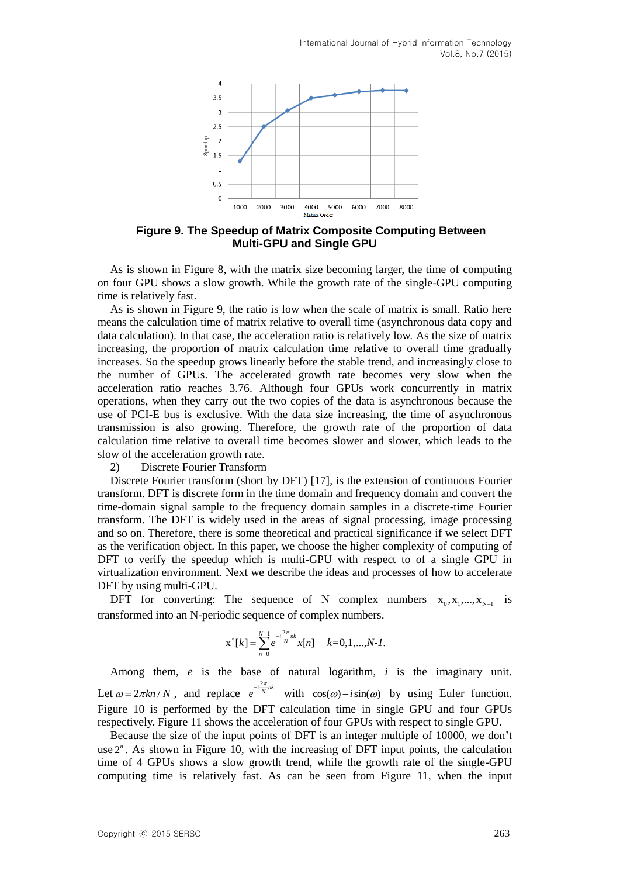

**Figure 9. The Speedup of Matrix Composite Computing Between Multi-GPU and Single GPU**

As is shown in Figure 8, with the matrix size becoming larger, the time of computing on four GPU shows a slow growth. While the growth rate of the single-GPU computing time is relatively fast.

As is shown in Figure 9, the ratio is low when the scale of matrix is small. Ratio here means the calculation time of matrix relative to overall time (asynchronous data copy and data calculation). In that case, the acceleration ratio is relatively low. As the size of matrix increasing, the proportion of matrix calculation time relative to overall time gradually increases. So the speedup grows linearly before the stable trend, and increasingly close to the number of GPUs. The accelerated growth rate becomes very slow when the acceleration ratio reaches 3.76. Although four GPUs work concurrently in matrix operations, when they carry out the two copies of the data is asynchronous because the use of PCI-E bus is exclusive. With the data size increasing, the time of asynchronous transmission is also growing. Therefore, the growth rate of the proportion of data calculation time relative to overall time becomes slower and slower, which leads to the slow of the acceleration growth rate.

2) Discrete Fourier Transform

Discrete Fourier transform (short by DFT) [17], is the extension of continuous Fourier transform. DFT is discrete form in the time domain and frequency domain and convert the time-domain signal sample to the frequency domain samples in a discrete-time Fourier transform. The DFT is widely used in the areas of signal processing, image processing and so on. Therefore, there is some theoretical and practical significance if we select DFT as the verification object. In this paper, we choose the higher complexity of computing of DFT to verify the speedup which is multi-GPU with respect to of a single GPU in virtualization environment. Next we describe the ideas and processes of how to accelerate DFT by using multi-GPU.

DFT for converting: The [sequence](http://en.wikipedia.org/wiki/Sequence) of N [complex numbers](http://en.wikipedia.org/wiki/Complex_number)  $x_0, x_1, ..., x_{N-1}$  is transformed into an N-periodic sequence of complex numbers.

$$
x^{k}[k] = \sum_{n=0}^{N-1} e^{-i\frac{2\pi}{N}nk} x[n] \quad k=0,1,...,N-1.
$$

Among them, *e* is the base of natural logarithm, *i* is the imaginary unit. Let  $\omega = 2\pi k n/N$ , and replace  $e^{-i\frac{2\pi}{N}nk}$  with  $\cos(\omega) - i\sin(\omega)$  by using Euler function. Figure 10 is performed by the DFT calculation time in single GPU and four GPUs respectively. Figure 11 shows the acceleration of four GPUs with respect to single GPU.

Because the size of the input points of DFT is an integer multiple of 10000, we don't use  $2<sup>n</sup>$ . As shown in Figure 10, with the increasing of DFT input points, the calculation time of 4 GPUs shows a slow growth trend, while the growth rate of the single-GPU computing time is relatively fast. As can be seen from Figure 11, when the input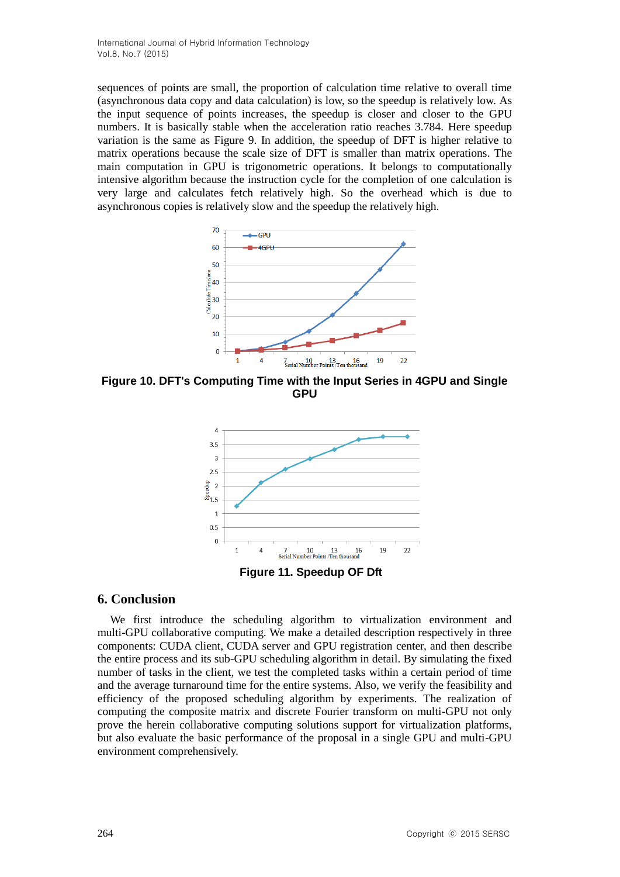sequences of points are small, the proportion of calculation time relative to overall time (asynchronous data copy and data calculation) is low, so the speedup is relatively low. As the input sequence of points increases, the speedup is closer and closer to the GPU numbers. It is basically stable when the acceleration ratio reaches 3.784. Here speedup variation is the same as Figure 9. In addition, the speedup of DFT is higher relative to matrix operations because the scale size of DFT is smaller than matrix operations. The main computation in GPU is trigonometric operations. It belongs to computationally intensive algorithm because the instruction cycle for the completion of one calculation is very large and calculates fetch relatively high. So the overhead which is due to asynchronous copies is relatively slow and the speedup the relatively high.



**Figure 10. DFT's Computing Time with the Input Series in 4GPU and Single GPU**



## **6. Conclusion**

We first introduce the scheduling algorithm to virtualization environment and multi-GPU collaborative computing. We make a detailed description respectively in three components: CUDA client, CUDA server and GPU registration center, and then describe the entire process and its sub-GPU scheduling algorithm in detail. By simulating the fixed number of tasks in the client, we test the completed tasks within a certain period of time and the average turnaround time for the entire systems. Also, we verify the feasibility and efficiency of the proposed scheduling algorithm by experiments. The realization of computing the composite matrix and discrete Fourier transform on multi-GPU not only prove the herein collaborative computing solutions support for virtualization platforms, but also evaluate the basic performance of the proposal in a single GPU and multi-GPU environment comprehensively.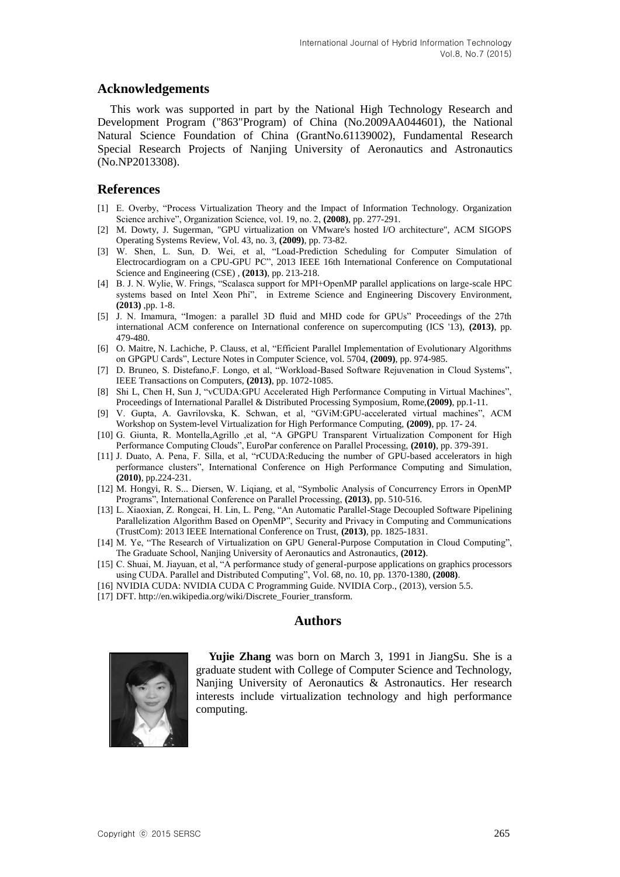### **Acknowledgements**

This work was supported in part by the National High Technology Research and Development Program ("863"Program) of China (No.2009AA044601), the National Natural Science Foundation of China (GrantNo.61139002), Fundamental Research Special Research Projects of Nanjing University of Aeronautics and Astronautics (No.NP2013308).

### **References**

- [1] E. Overby, "Process Virtualization Theory and the Impact of Information Technology. Organization Science archive", Organization Science, vol. 19, no. 2, **(2008)**, pp. 277-291.
- [2] M. Dowty, J. Sugerman, "GPU virtualization on VMware's hosted I/O architecture", ACM SIGOPS Operating Systems Review, Vol. 43, no. 3, **(2009)**, pp. 73-82.
- [3] W. Shen, L. Sun, D. Wei, et al, "Load-Prediction Scheduling for Computer Simulation of Electrocardiogram on a CPU-GPU PC", [2013 IEEE 16th International Conference on](http://www.computer.org/csdl/proceedings/cse/2013/5096/00/index.html) Computational [Science and Engineering \(CSE\)](http://www.computer.org/csdl/proceedings/cse/2013/5096/00/index.html) , **(2013)**, pp. 213-218.
- [4] B. J. N. Wylie, W. Frings, "Scalasca support for MPI+OpenMP parallel applications on large-scale HPC systems based on Intel Xeon Phi", in Extreme Science and Engineering Discovery Environment, **(2013)** ,pp. 1-8.
- [5] J. N. Imamura, "Imogen: a parallel 3D fluid and MHD code for GPUs" Proceedings of the 27th international ACM conference on International conference on supercomputing (ICS '13), **(2013)**, pp. 479-480.
- [6] [O. Maitre,](http://link.springer.com/search?facet-author=%22Ogier+Maitre%22) [N. Lachiche,](http://link.springer.com/search?facet-author=%22Nicolas+Lachiche%22) [P. Clauss,](http://link.springer.com/search?facet-author=%22Philippe+Clauss%22) et al, "Efficient Parallel Implementation of Evolutionary Algorithms on GPGPU Cards", [Lecture Notes in Computer Science,](http://link.springer.com/bookseries/558) vol. 5704, **(2009)**, pp. 974-985.
- [7] D. Bruneo, S. Distefano,F. Longo, et al, "Workload-Based Software Rejuvenation in Cloud Systems", IEEE Transactions on Computers, **(2013)**, pp. 1072-1085.
- [8] Shi L, Chen H, Sun J, "vCUDA:GPU Accelerated High Performance Computing in Virtual Machines", Proceedings of International Parallel & Distributed Processing Symposium, Rome,**(2009)**, pp.1-11.
- [9] V. Gupta, A. Gavrilovska, K. Schwan, et al, "GViM:GPU-accelerated virtual machines", ACM Workshop on System-level Virtualization for High Performance Computing, **(2009)**, pp. 17- 24.
- [10] G. Giunta, R. Montella,Agrillo ,et al, "A GPGPU Transparent Virtualization Component for High Performance Computing Clouds", EuroPar conference on Parallel Processing, **(2010)**, pp. 379-391.
- [11] J. Duato, A. Pena, F. Silla, et al, "rCUDA:Reducing the number of GPU-based accelerators in high performance clusters", International Conference on High Performance Computing and Simulation, **(2010)**, pp.224-231.
- [12] M. Hongyi, R. S... Diersen, W. Liqiang, et al, "Symbolic Analysis of Concurrency Errors in OpenMP Programs", International Conference on Parallel Processing, **(2013)**, pp. 510-516.
- [13] L. Xiaoxian, Z. Rongcai, H. Lin, L. Peng, "An Automatic Parallel-Stage Decoupled Software Pipelining Parallelization Algorithm Based on OpenMP", Security and Privacy in Computing and Communications (TrustCom): 2013 IEEE International Conference on Trust, **(2013)**, pp. 1825-1831.
- [14] M. Ye, "The Research of Virtualization on GPU General-Purpose Computation in Cloud Computing", The Graduate School, Nanjing University of Aeronautics and Astronautics, **(2012)**.
- [15] C. Shuai, M. Jiayuan, et al, "A performance study of general-purpose applications on graphics processors using CUDA. Parallel and Distributed Computing", Vol. 68, no. 10, pp. 1370-1380, **(2008)**.
- [16] NVIDIA CUDA: NVIDIA CUDA C Programming Guide. NVIDIA Corp., (2013), version 5.5.
- [17] DFT. http://en.wikipedia.org/wiki/Discrete\_Fourier\_transform.

### **Authors**



**Yujie Zhang** was born on March 3, 1991 in JiangSu. She is a graduate student with College of Computer Science and Technology, Nanjing University of Aeronautics & Astronautics. Her research interests include virtualization technology and high performance computing.